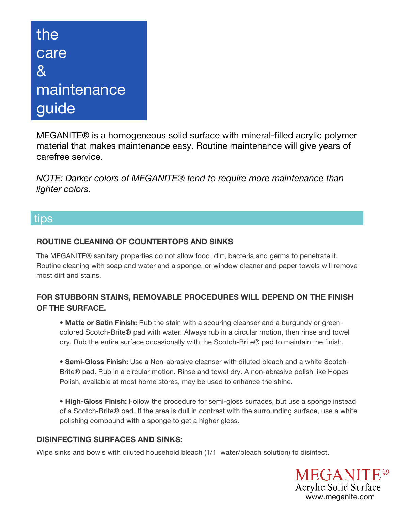# the care & **maintenance** guide

MEGANITE® is a homogeneous solid surface with mineral-filled acrylic polymer material that makes maintenance easy. Routine maintenance will give years of carefree service.

*NOTE: Darker colors of MEGANITE® tend to require more maintenance than lighter colors.*

### tips

#### **ROUTINE CLEANING OF COUNTERTOPS AND SINKS**

The MEGANITE® sanitary properties do not allow food, dirt, bacteria and germs to penetrate it. Routine cleaning with soap and water and a sponge, or window cleaner and paper towels will remove most dirt and stains.

### **FOR STUBBORN STAINS, REMOVABLE PROCEDURES WILL DEPEND ON THE FINISH OF THE SURFACE.**

**• Matte or Satin Finish:** Rub the stain with a scouring cleanser and a burgundy or greencolored Scotch-Brite® pad with water. Always rub in a circular motion, then rinse and towel dry. Rub the entire surface occasionally with the Scotch-Brite® pad to maintain the finish.

**• Semi-Gloss Finish:** Use a Non-abrasive cleanser with diluted bleach and a white Scotch-Brite® pad. Rub in a circular motion. Rinse and towel dry. A non-abrasive polish like Hopes Polish, available at most home stores, may be used to enhance the shine.

**• High-Gloss Finish:** Follow the procedure for semi-gloss surfaces, but use a sponge instead of a Scotch-Brite® pad. If the area is dull in contrast with the surrounding surface, use a white polishing compound with a sponge to get a higher gloss.

#### **DISINFECTING SURFACES AND SINKS:**

Wipe sinks and bowls with diluted household bleach (1/1 water/bleach solution) to disinfect.

**MEGANITE®** Acrylic Solid Surface www.meganite.com